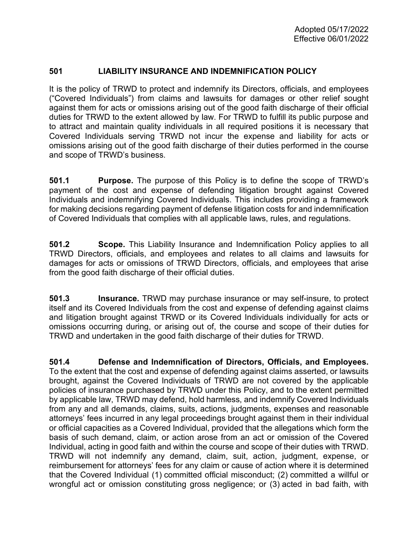## **501 LIABILITY INSURANCE AND INDEMNIFICATION POLICY**

It is the policy of TRWD to protect and indemnify its Directors, officials, and employees ("Covered Individuals") from claims and lawsuits for damages or other relief sought against them for acts or omissions arising out of the good faith discharge of their official duties for TRWD to the extent allowed by law. For TRWD to fulfill its public purpose and to attract and maintain quality individuals in all required positions it is necessary that Covered Individuals serving TRWD not incur the expense and liability for acts or omissions arising out of the good faith discharge of their duties performed in the course and scope of TRWD's business.

**501.1 Purpose.** The purpose of this Policy is to define the scope of TRWD's payment of the cost and expense of defending litigation brought against Covered Individuals and indemnifying Covered Individuals. This includes providing a framework for making decisions regarding payment of defense litigation costs for and indemnification of Covered Individuals that complies with all applicable laws, rules, and regulations.

**501.2** Scope. This Liability Insurance and Indemnification Policy applies to all TRWD Directors, officials, and employees and relates to all claims and lawsuits for damages for acts or omissions of TRWD Directors, officials, and employees that arise from the good faith discharge of their official duties.

**501.3 Insurance.** TRWD may purchase insurance or may self-insure, to protect itself and its Covered Individuals from the cost and expense of defending against claims and litigation brought against TRWD or its Covered Individuals individually for acts or omissions occurring during, or arising out of, the course and scope of their duties for TRWD and undertaken in the good faith discharge of their duties for TRWD.

**501.4 Defense and Indemnification of Directors, Officials, and Employees.** To the extent that the cost and expense of defending against claims asserted, or lawsuits brought, against the Covered Individuals of TRWD are not covered by the applicable policies of insurance purchased by TRWD under this Policy, and to the extent permitted by applicable law, TRWD may defend, hold harmless, and indemnify Covered Individuals from any and all demands, claims, suits, actions, judgments, expenses and reasonable attorneys' fees incurred in any legal proceedings brought against them in their individual or official capacities as a Covered Individual, provided that the allegations which form the basis of such demand, claim, or action arose from an act or omission of the Covered Individual, acting in good faith and within the course and scope of their duties with TRWD. TRWD will not indemnify any demand, claim, suit, action, judgment, expense, or reimbursement for attorneys' fees for any claim or cause of action where it is determined that the Covered Individual (1) committed official misconduct; (2) committed a willful or wrongful act or omission constituting gross negligence; or (3) acted in bad faith, with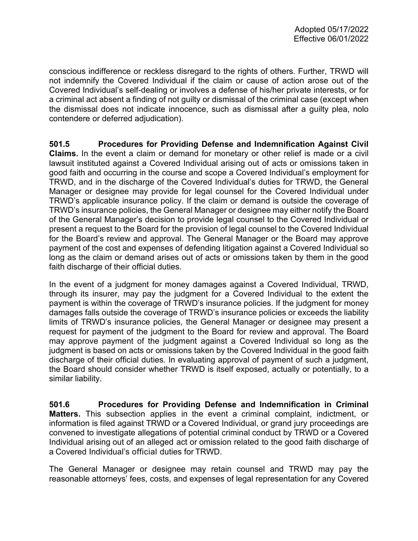conscious indifference or reckless disregard to the rights of others. Further, TRWD will not indemnify the Covered Individual if the claim or cause of action arose out of the Covered Individual's self-dealing or involves a defense of his/her private interests, or for a criminal act absent a finding of not guilty or dismissal of the criminal case (except when the dismissal does not indicate innocence, such as dismissal after a guilty plea, nolo contendere or deferred adjudication).

**501.5 Procedures for Providing Defense and Indemnification Against Civil Claims.** In the event a claim or demand for monetary or other relief is made or a civil lawsuit instituted against a Covered Individual arising out of acts or omissions taken in good faith and occurring in the course and scope a Covered Individual's employment for TRWD, and in the discharge of the Covered Individual's duties for TRWD, the General Manager or designee may provide for legal counsel for the Covered Individual under TRWD's applicable insurance policy. If the claim or demand is outside the coverage of TRWD's insurance policies, the General Manager or designee may either notify the Board of the General Manager's decision to provide legal counsel to the Covered Individual or present a request to the Board for the provision of legal counsel to the Covered Individual for the Board's review and approval. The General Manager or the Board may approve payment of the cost and expenses of defending litigation against a Covered Individual so long as the claim or demand arises out of acts or omissions taken by them in the good faith discharge of their official duties.

In the event of a judgment for money damages against a Covered Individual, TRWD, through its insurer, may pay the judgment for a Covered Individual to the extent the payment is within the coverage of TRWD's insurance policies. If the judgment for money damages falls outside the coverage of TRWD's insurance policies or exceeds the liability limits of TRWD's insurance policies, the General Manager or designee may present a request for payment of the judgment to the Board for review and approval. The Board may approve payment of the judgment against a Covered Individual so long as the judgment is based on acts or omissions taken by the Covered Individual in the good faith discharge of their official duties. In evaluating approval of payment of such a judgment, the Board should consider whether TRWD is itself exposed, actually or potentially, to a similar liability.

**501.6 Procedures for Providing Defense and Indemnification in Criminal Matters.** This subsection applies in the event a criminal complaint, indictment, or information is filed against TRWD or a Covered Individual, or grand jury proceedings are convened to investigate allegations of potential criminal conduct by TRWD or a Covered Individual arising out of an alleged act or omission related to the good faith discharge of a Covered Individual's official duties for TRWD.

The General Manager or designee may retain counsel and TRWD may pay the reasonable attorneys' fees, costs, and expenses of legal representation for any Covered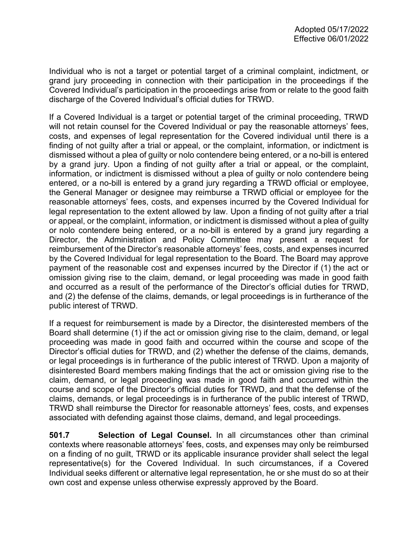Individual who is not a target or potential target of a criminal complaint, indictment, or grand jury proceeding in connection with their participation in the proceedings if the Covered Individual's participation in the proceedings arise from or relate to the good faith discharge of the Covered Individual's official duties for TRWD.

If a Covered Individual is a target or potential target of the criminal proceeding, TRWD will not retain counsel for the Covered Individual or pay the reasonable attorneys' fees, costs, and expenses of legal representation for the Covered individual until there is a finding of not guilty after a trial or appeal, or the complaint, information, or indictment is dismissed without a plea of guilty or nolo contendere being entered, or a no-bill is entered by a grand jury. Upon a finding of not guilty after a trial or appeal, or the complaint, information, or indictment is dismissed without a plea of guilty or nolo contendere being entered, or a no-bill is entered by a grand jury regarding a TRWD official or employee, the General Manager or designee may reimburse a TRWD official or employee for the reasonable attorneys' fees, costs, and expenses incurred by the Covered Individual for legal representation to the extent allowed by law. Upon a finding of not guilty after a trial or appeal, or the complaint, information, or indictment is dismissed without a plea of guilty or nolo contendere being entered, or a no-bill is entered by a grand jury regarding a Director, the Administration and Policy Committee may present a request for reimbursement of the Director's reasonable attorneys' fees, costs, and expenses incurred by the Covered Individual for legal representation to the Board. The Board may approve payment of the reasonable cost and expenses incurred by the Director if (1) the act or omission giving rise to the claim, demand, or legal proceeding was made in good faith and occurred as a result of the performance of the Director's official duties for TRWD, and (2) the defense of the claims, demands, or legal proceedings is in furtherance of the public interest of TRWD.

If a request for reimbursement is made by a Director, the disinterested members of the Board shall determine (1) if the act or omission giving rise to the claim, demand, or legal proceeding was made in good faith and occurred within the course and scope of the Director's official duties for TRWD, and (2) whether the defense of the claims, demands, or legal proceedings is in furtherance of the public interest of TRWD. Upon a majority of disinterested Board members making findings that the act or omission giving rise to the claim, demand, or legal proceeding was made in good faith and occurred within the course and scope of the Director's official duties for TRWD, and that the defense of the claims, demands, or legal proceedings is in furtherance of the public interest of TRWD, TRWD shall reimburse the Director for reasonable attorneys' fees, costs, and expenses associated with defending against those claims, demand, and legal proceedings.

**501.7 Selection of Legal Counsel.** In all circumstances other than criminal contexts where reasonable attorneys' fees, costs, and expenses may only be reimbursed on a finding of no guilt, TRWD or its applicable insurance provider shall select the legal representative(s) for the Covered Individual. In such circumstances, if a Covered Individual seeks different or alternative legal representation, he or she must do so at their own cost and expense unless otherwise expressly approved by the Board.